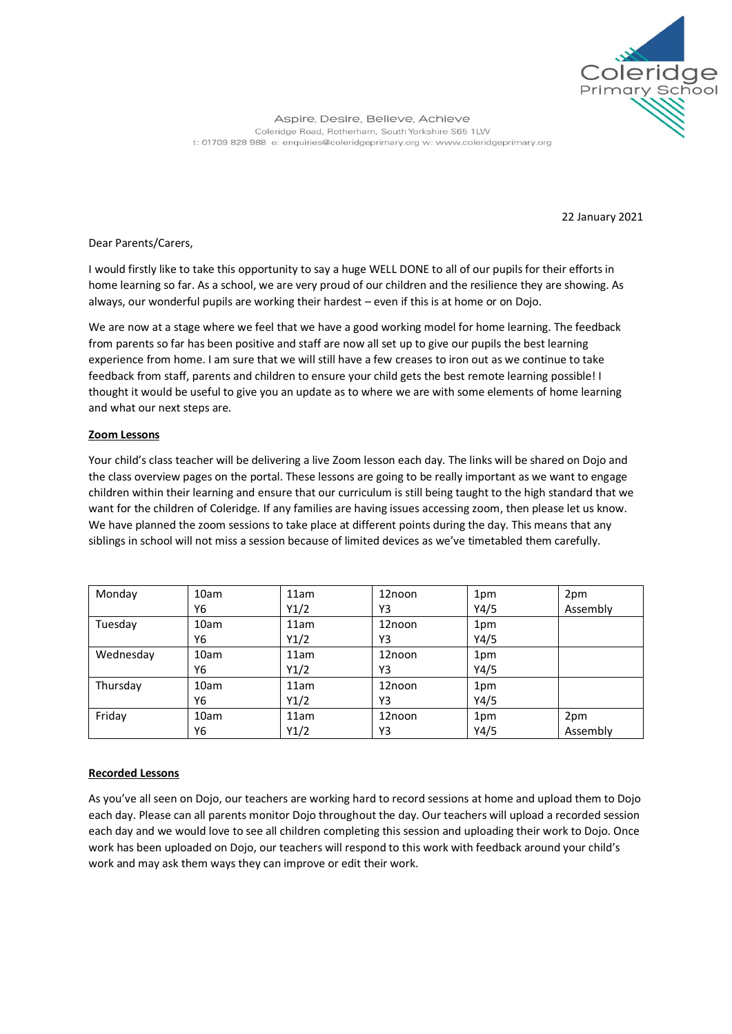

Aspire, Desire, Believe, Achieve Coleridge Road, Rotherham, South Yorkshire S65 1LW t: 01709 828 988 e: enquiries@coleridgeprimary.org w: www.coleridgeprimary.org

22 January 2021

Dear Parents/Carers,

I would firstly like to take this opportunity to say a huge WELL DONE to all of our pupils for their efforts in home learning so far. As a school, we are very proud of our children and the resilience they are showing. As always, our wonderful pupils are working their hardest – even if this is at home or on Dojo.

We are now at a stage where we feel that we have a good working model for home learning. The feedback from parents so far has been positive and staff are now all set up to give our pupils the best learning experience from home. I am sure that we will still have a few creases to iron out as we continue to take feedback from staff, parents and children to ensure your child gets the best remote learning possible! I thought it would be useful to give you an update as to where we are with some elements of home learning and what our next steps are.

## **Zoom Lessons**

Your child's class teacher will be delivering a live Zoom lesson each day. The links will be shared on Dojo and the class overview pages on the portal. These lessons are going to be really important as we want to engage children within their learning and ensure that our curriculum is still being taught to the high standard that we want for the children of Coleridge. If any families are having issues accessing zoom, then please let us know. We have planned the zoom sessions to take place at different points during the day. This means that any siblings in school will not miss a session because of limited devices as we've timetabled them carefully.

| Monday    | 10am | 11am | 12noon | 1pm  | 2pm      |
|-----------|------|------|--------|------|----------|
|           | Y6   | Y1/2 | Y3     | Y4/5 | Assembly |
| Tuesday   | 10am | 11am | 12noon | 1pm  |          |
|           | Y6   | Y1/2 | Y3     | Y4/5 |          |
| Wednesday | 10am | 11am | 12noon | 1pm  |          |
|           | Υ6   | Y1/2 | Y3     | Y4/5 |          |
| Thursday  | 10am | 11am | 12noon | 1pm  |          |
|           | Y6   | Y1/2 | Y3     | Y4/5 |          |
| Friday    | 10am | 11am | 12noon | 1pm  | 2pm      |
|           | Y6   | Y1/2 | Y3     | Y4/5 | Assembly |

# **Recorded Lessons**

As you've all seen on Dojo, our teachers are working hard to record sessions at home and upload them to Dojo each day. Please can all parents monitor Dojo throughout the day. Our teachers will upload a recorded session each day and we would love to see all children completing this session and uploading their work to Dojo. Once work has been uploaded on Dojo, our teachers will respond to this work with feedback around your child's work and may ask them ways they can improve or edit their work.